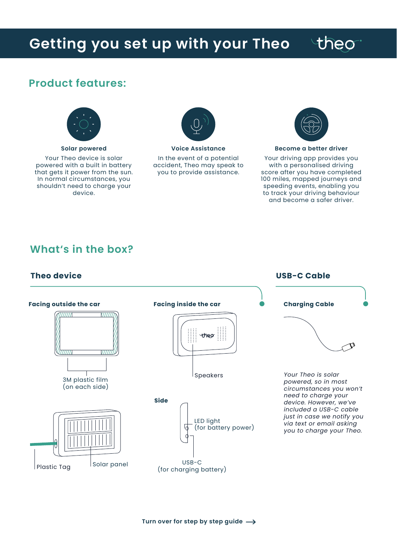## **Getting you set up with your Theo**

# theo

### **Product features:**



**Solar powered** Your Theo device is solar powered with a built in battery that gets it power from the sun. In normal circumstances, you shouldn't need to charge your device.



**Voice Assistance** In the event of a potential accident, Theo may speak to you to provide assistance.



#### **Become a better driver**

Your driving app provides you with a personalised driving score after you have completed 100 miles, mapped journeys and speeding events, enabling you to track your driving behaviour and become a safer driver.

**USB-C Cable**

### **What's in the box?**

### **Theo device**